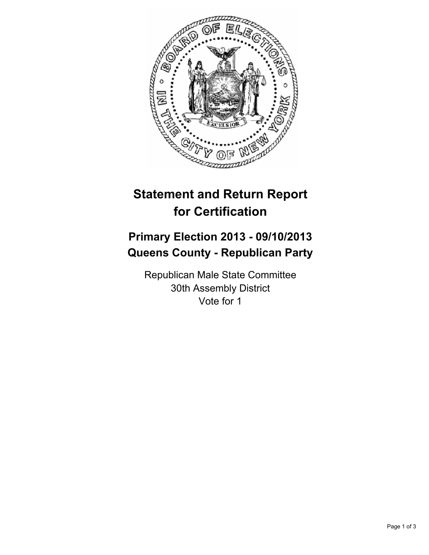

## **Statement and Return Report for Certification**

## **Primary Election 2013 - 09/10/2013 Queens County - Republican Party**

Republican Male State Committee 30th Assembly District Vote for 1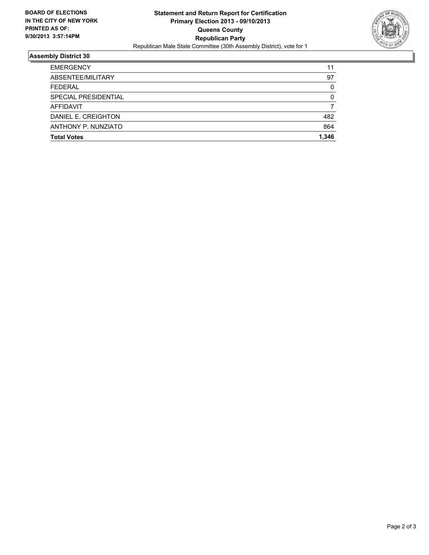

## **Assembly District 30**

| <b>Total Votes</b>   | 1.346    |
|----------------------|----------|
|                      |          |
| ANTHONY P. NUNZIATO  | 864      |
| DANIEL E. CREIGHTON  | 482      |
| AFFIDAVIT            |          |
| SPECIAL PRESIDENTIAL | $\Omega$ |
| FFDFRAI              | 0        |
| ABSENTEE/MILITARY    | 97       |
| <b>EMERGENCY</b>     | 11       |